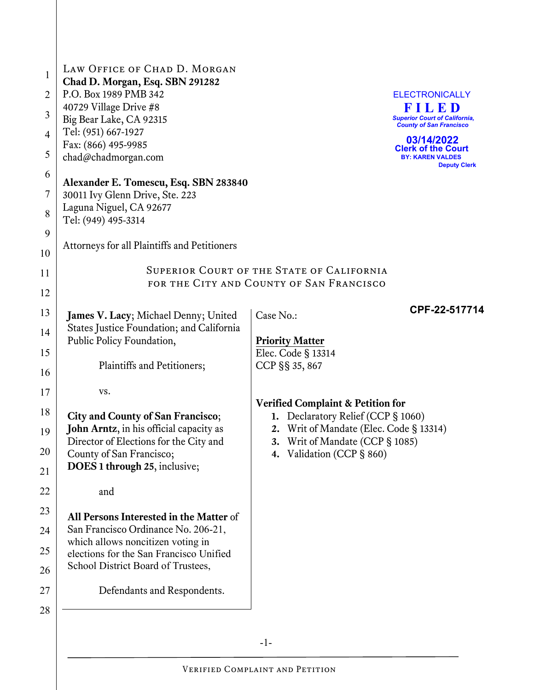| $\mathbf{1}$<br>2<br>3<br>4<br>5<br>6<br>7                                       | LAW OFFICE OF CHAD D. MORGAN<br>Chad D. Morgan, Esq. SBN 291282<br>P.O. Box 1989 PMB 342<br>40729 Village Drive #8<br>Big Bear Lake, CA 92315<br>Tel: (951) 667-1927<br>Fax: (866) 495-9985<br>chad@chadmorgan.com<br>Alexander E. Tomescu, Esq. SBN 283840<br>30011 Ivy Glenn Drive, Ste. 223                                                                                                                                                                                                                                                             |                                                                                                                                                                                                                                                                                               | <b>ELECTRONICALLY</b><br>FILED<br><b>Superior Court of California,</b><br><b>County of San Francisco</b><br>03/14/2022<br><b>Clerk of the Court</b><br><b>BY: KAREN VALDES</b><br><b>Deputy Clerk</b> |  |  |
|----------------------------------------------------------------------------------|------------------------------------------------------------------------------------------------------------------------------------------------------------------------------------------------------------------------------------------------------------------------------------------------------------------------------------------------------------------------------------------------------------------------------------------------------------------------------------------------------------------------------------------------------------|-----------------------------------------------------------------------------------------------------------------------------------------------------------------------------------------------------------------------------------------------------------------------------------------------|-------------------------------------------------------------------------------------------------------------------------------------------------------------------------------------------------------|--|--|
| 8                                                                                | Laguna Niguel, CA 92677<br>Tel: (949) 495-3314                                                                                                                                                                                                                                                                                                                                                                                                                                                                                                             |                                                                                                                                                                                                                                                                                               |                                                                                                                                                                                                       |  |  |
| 9<br>10                                                                          | Attorneys for all Plaintiffs and Petitioners                                                                                                                                                                                                                                                                                                                                                                                                                                                                                                               |                                                                                                                                                                                                                                                                                               |                                                                                                                                                                                                       |  |  |
| 11<br>12                                                                         | <b>SUPERIOR COURT OF THE STATE OF CALIFORNIA</b><br>FOR THE CITY AND COUNTY OF SAN FRANCISCO                                                                                                                                                                                                                                                                                                                                                                                                                                                               |                                                                                                                                                                                                                                                                                               |                                                                                                                                                                                                       |  |  |
| 13<br>14<br>15<br>16<br>17<br>18<br>19<br>20<br>21<br>22<br>23<br>24<br>25<br>26 | James V. Lacy; Michael Denny; United<br>States Justice Foundation; and California<br>Public Policy Foundation,<br>Plaintiffs and Petitioners;<br>VS.<br>City and County of San Francisco;<br>John Arntz, in his official capacity as<br>Director of Elections for the City and<br>County of San Francisco;<br>DOES 1 through 25, inclusive;<br>and<br>All Persons Interested in the Matter of<br>San Francisco Ordinance No. 206-21,<br>which allows noncitizen voting in<br>elections for the San Francisco Unified<br>School District Board of Trustees, | CPF-22-517714<br>Case No.:<br><b>Priority Matter</b><br>Elec. Code § 13314<br>CCP §§ 35, 867<br><b>Verified Complaint &amp; Petition for</b><br>1. Declaratory Relief (CCP § 1060)<br>2. Writ of Mandate (Elec. Code § 13314)<br>3. Writ of Mandate (CCP § 1085)<br>4. Validation (CCP § 860) |                                                                                                                                                                                                       |  |  |
| 27                                                                               | Defendants and Respondents.                                                                                                                                                                                                                                                                                                                                                                                                                                                                                                                                |                                                                                                                                                                                                                                                                                               |                                                                                                                                                                                                       |  |  |
| 28                                                                               |                                                                                                                                                                                                                                                                                                                                                                                                                                                                                                                                                            |                                                                                                                                                                                                                                                                                               |                                                                                                                                                                                                       |  |  |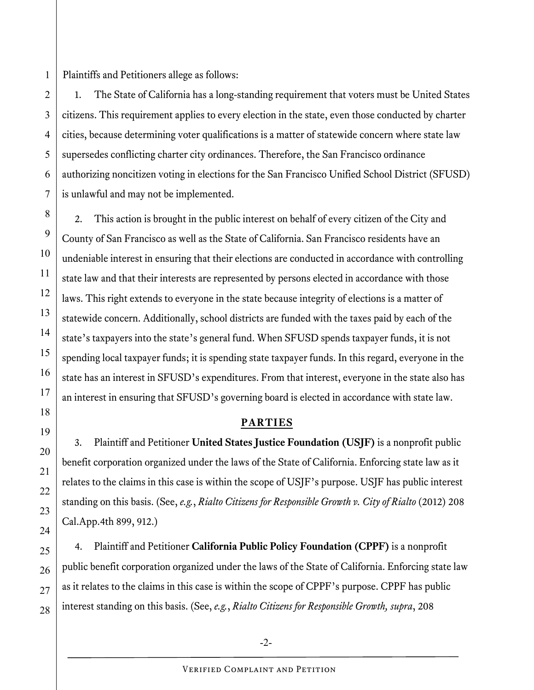1 Plaintiffs and Petitioners allege as follows:

2

3

4

5

6

7

8

9

10

11

12

13

14

15

16

17

18

19

20

21

22

23

24

25

26

27

28

1. The State of California has a long-standing requirement that voters must be United States citizens. This requirement applies to every election in the state, even those conducted by charter cities, because determining voter qualifications is a matter of statewide concern where state law supersedes conflicting charter city ordinances. Therefore, the San Francisco ordinance authorizing noncitizen voting in elections for the San Francisco Unified School District (SFUSD) is unlawful and may not be implemented.

2. This action is brought in the public interest on behalf of every citizen of the City and County of San Francisco as well as the State of California. San Francisco residents have an undeniable interest in ensuring that their elections are conducted in accordance with controlling state law and that their interests are represented by persons elected in accordance with those laws. This right extends to everyone in the state because integrity of elections is a matter of statewide concern. Additionally, school districts are funded with the taxes paid by each of the state's taxpayers into the state's general fund. When SFUSD spends taxpayer funds, it is not spending local taxpayer funds; it is spending state taxpayer funds. In this regard, everyone in the state has an interest in SFUSD's expenditures. From that interest, everyone in the state also has an interest in ensuring that SFUSD's governing board is elected in accordance with state law.

## **PARTIES**

3. Plaintiff and Petitioner **United States Justice Foundation (USJF)** is a nonprofit public benefit corporation organized under the laws of the State of California. Enforcing state law as it relates to the claims in this case is within the scope of USJF's purpose. USJF has public interest standing on this basis. (See, *e.g.*, *Rialto Citizens for Responsible Growth v. City of Rialto* (2012) 208 Cal.App.4th 899, 912.)

4. Plaintiff and Petitioner **California Public Policy Foundation (CPPF)** is a nonprofit public benefit corporation organized under the laws of the State of California. Enforcing state law as it relates to the claims in this case is within the scope of CPPF's purpose. CPPF has public interest standing on this basis. (See, *e.g.*, *Rialto Citizens for Responsible Growth, supra*, 208

 $-2$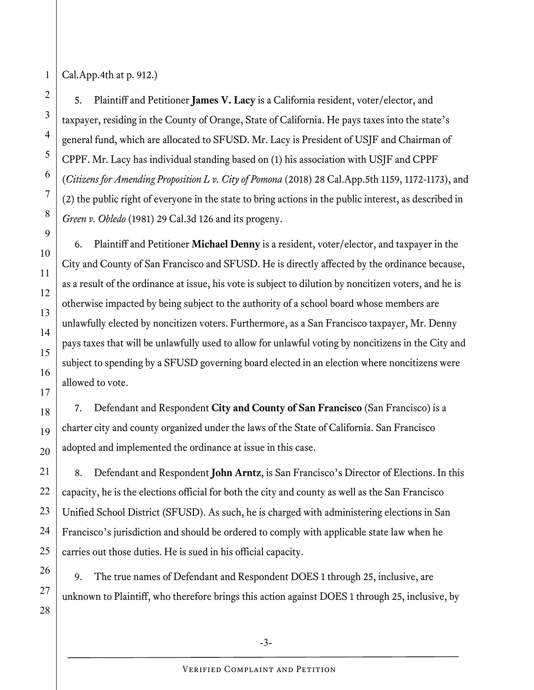Cal.App.4th at p. 912.)

5. Plaintiff and Petitioner **James V. Lacy** is a California resident, voter/elector, and taxpayer, residing in the County of Orange, State of California. He pays taxes into the state's general fund, which are allocated to SFUSD. Mr. Lacy is President of USJF and Chairman of CPPF. Mr. Lacy has individual standing based on (1) his association with USJF and CPPF (*Citizens for Amending Proposition L v. City of Pomona* (2018) 28 Cal.App.5th 1159, 1172-1173), and (2) the public right of everyone in the state to bring actions in the public interest, as described in *Green v. Obledo* (1981) 29 Cal.3d 126 and its progeny.

6. Plaintiff and Petitioner **Michael Denny** is a resident, voter/elector, and taxpayer in the City and County of San Francisco and SFUSD. He is directly affected by the ordinance because, as a result of the ordinance at issue, his vote is subject to dilution by noncitizen voters, and he is otherwise impacted by being subject to the authority of a school board whose members are unlawfully elected by noncitizen voters. Furthermore, as a San Francisco taxpayer, Mr. Denny pays taxes that will be unlawfully used to allow for unlawful voting by noncitizens in the City and subject to spending by a SFUSD governing board elected in an election where noncitizens were allowed to vote.

7. Defendant and Respondent **City and County of San Francisco** (San Francisco) is a charter city and county organized under the laws of the State of California. San Francisco adopted and implemented the ordinance at issue in this case.

8. Defendant and Respondent **John Arntz**, is San Francisco's Director of Elections. In this capacity, he is the elections official for both the city and county as well as the San Francisco Unified School District (SFUSD). As such, he is charged with administering elections in San Francisco's jurisdiction and should be ordered to comply with applicable state law when he carries out those duties. He is sued in his official capacity.

9. The true names of Defendant and Respondent DOES 1 through 25, inclusive, are unknown to Plaintiff, who therefore brings this action against DOES 1 through 25, inclusive, by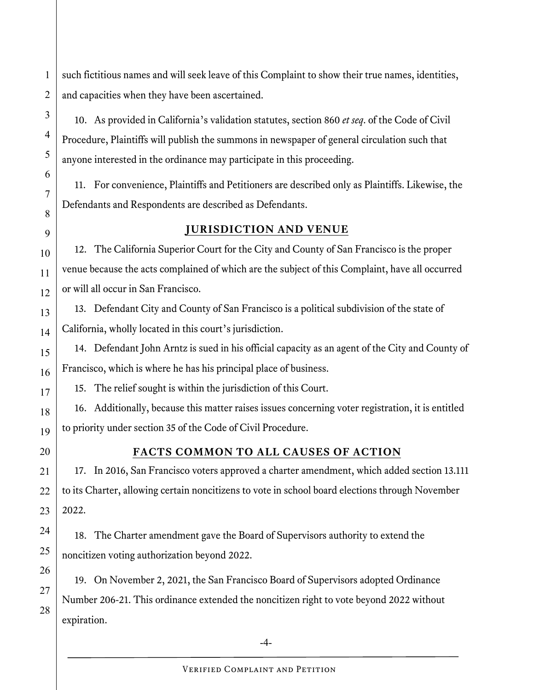such fictitious names and will seek leave of this Complaint to show their true names, identities, and capacities when they have been ascertained.

10. As provided in California's validation statutes, section 860 *et seq*. of the Code of Civil Procedure, Plaintiffs will publish the summons in newspaper of general circulation such that anyone interested in the ordinance may participate in this proceeding.

11. For convenience, Plaintiffs and Petitioners are described only as Plaintiffs. Likewise, the Defendants and Respondents are described as Defendants.

## **JURISDICTION AND VENUE**

12. The California Superior Court for the City and County of San Francisco is the proper venue because the acts complained of which are the subject of this Complaint, have all occurred or will all occur in San Francisco.

13. Defendant City and County of San Francisco is a political subdivision of the state of California, wholly located in this court's jurisdiction.

14. Defendant John Arntz is sued in his official capacity as an agent of the City and County of Francisco, which is where he has his principal place of business.

15. The relief sought is within the jurisdiction of this Court.

16. Additionally, because this matter raises issues concerning voter registration, it is entitled to priority under section 35 of the Code of Civil Procedure.

1

2

3

4

5

6

7

8

9

10

11

12

13

14

15

16

17

18

19

20

21

22

23

24

25

26

27

28

## **FACTS COMMON TO ALL CAUSES OF ACTION**

17. In 2016, San Francisco voters approved a charter amendment, which added section 13.111 to its Charter, allowing certain noncitizens to vote in school board elections through November 2022.

18. The Charter amendment gave the Board of Supervisors authority to extend the noncitizen voting authorization beyond 2022.

19. On November 2, 2021, the San Francisco Board of Supervisors adopted Ordinance Number 206-21. This ordinance extended the noncitizen right to vote beyond 2022 without expiration.

-4-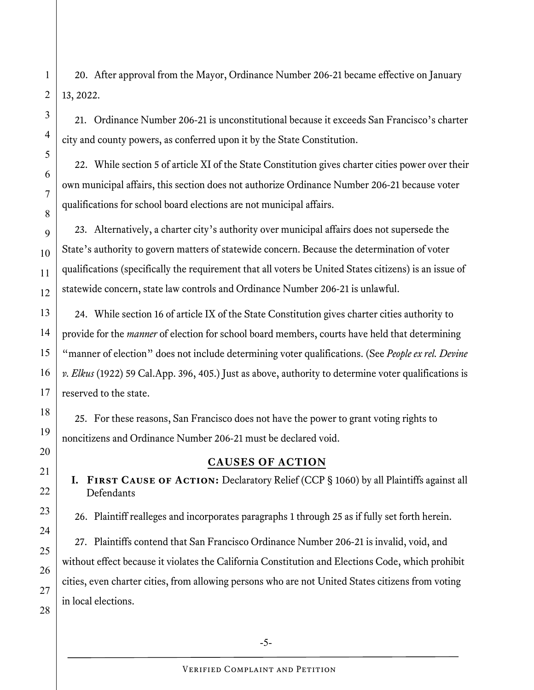20. After approval from the Mayor, Ordinance Number 206-21 became effective on January 13, 2022.

21. Ordinance Number 206-21 is unconstitutional because it exceeds San Francisco's charter city and county powers, as conferred upon it by the State Constitution.

22. While section 5 of article XI of the State Constitution gives charter cities power over their own municipal affairs, this section does not authorize Ordinance Number 206-21 because voter qualifications for school board elections are not municipal affairs.

23. Alternatively, a charter city's authority over municipal affairs does not supersede the State's authority to govern matters of statewide concern. Because the determination of voter qualifications (specifically the requirement that all voters be United States citizens) is an issue of statewide concern, state law controls and Ordinance Number 206-21 is unlawful.

24. While section 16 of article IX of the State Constitution gives charter cities authority to provide for the *manner* of election for school board members, courts have held that determining "manner of election" does not include determining voter qualifications. (See *People ex rel. Devine v. Elkus* (1922) 59 Cal.App. 396, 405.) Just as above, authority to determine voter qualifications is reserved to the state.

25. For these reasons, San Francisco does not have the power to grant voting rights to noncitizens and Ordinance Number 206-21 must be declared void.

## **CAUSES OF ACTION**

**I.** FIRST CAUSE OF ACTION: Declaratory Relief (CCP § 1060) by all Plaintiffs against all **Defendants** 

26. Plaintiff realleges and incorporates paragraphs 1 through 25 as if fully set forth herein.

27. Plaintiffs contend that San Francisco Ordinance Number 206-21 is invalid, void, and without effect because it violates the California Constitution and Elections Code, which prohibit cities, even charter cities, from allowing persons who are not United States citizens from voting in local elections.

26

27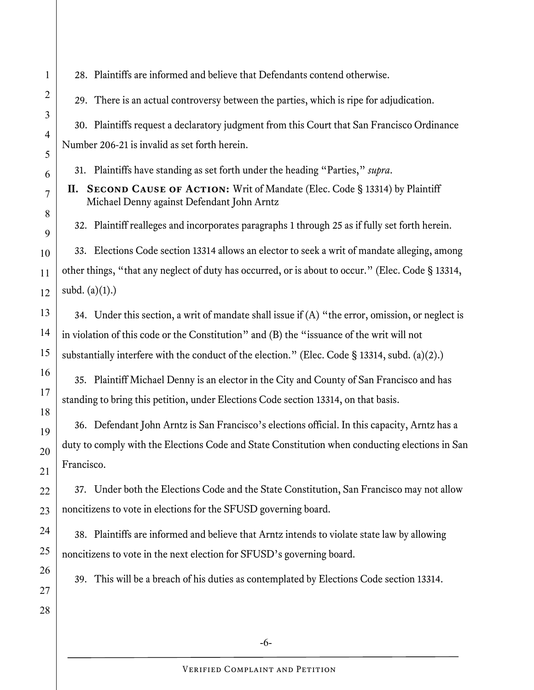28. Plaintiffs are informed and believe that Defendants contend otherwise.

29. There is an actual controversy between the parties, which is ripe for adjudication.

30. Plaintiffs request a declaratory judgment from this Court that San Francisco Ordinance Number 206-21 is invalid as set forth herein.

31. Plaintiffs have standing as set forth under the heading "Parties," *supra*.

**II. SECOND CAUSE OF ACTION:** Writ of Mandate (Elec. Code § 13314) by Plaintiff Michael Denny against Defendant John Arntz

32. Plaintiff realleges and incorporates paragraphs 1 through 25 as if fully set forth herein.

33. Elections Code section 13314 allows an elector to seek a writ of mandate alleging, among other things, "that any neglect of duty has occurred, or is about to occur." (Elec. Code § 13314, subd.  $(a)(1)$ .)

34. Under this section, a writ of mandate shall issue if (A) "the error, omission, or neglect is in violation of this code or the Constitution" and (B) the "issuance of the writ will not substantially interfere with the conduct of the election." (Elec. Code § 13314, subd. (a)(2).)

35. Plaintiff Michael Denny is an elector in the City and County of San Francisco and has standing to bring this petition, under Elections Code section 13314, on that basis.

36. Defendant John Arntz is San Francisco's elections official. In this capacity, Arntz has a duty to comply with the Elections Code and State Constitution when conducting elections in San Francisco.

37. Under both the Elections Code and the State Constitution, San Francisco may not allow noncitizens to vote in elections for the SFUSD governing board.

38. Plaintiffs are informed and believe that Arntz intends to violate state law by allowing noncitizens to vote in the next election for SFUSD's governing board.

39. This will be a breach of his duties as contemplated by Elections Code section 13314.

1

2

3

4

5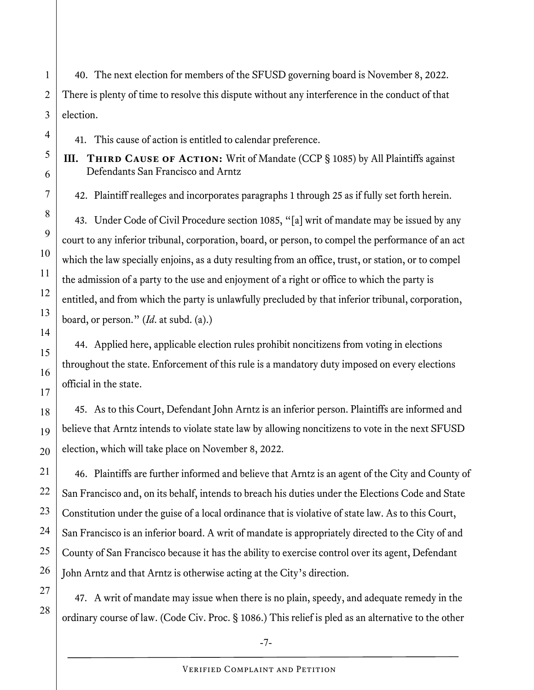40. The next election for members of the SFUSD governing board is November 8, 2022. There is plenty of time to resolve this dispute without any interference in the conduct of that election.

41. This cause of action is entitled to calendar preference.

**III. THIRD CAUSE OF ACTION:** Writ of Mandate (CCP § 1085) by All Plaintiffs against Defendants San Francisco and Arntz

42. Plaintiff realleges and incorporates paragraphs 1 through 25 as if fully set forth herein.

43. Under Code of Civil Procedure section 1085, "[a] writ of mandate may be issued by any court to any inferior tribunal, corporation, board, or person, to compel the performance of an act which the law specially enjoins, as a duty resulting from an office, trust, or station, or to compel the admission of a party to the use and enjoyment of a right or office to which the party is entitled, and from which the party is unlawfully precluded by that inferior tribunal, corporation, board, or person." (*Id*. at subd. (a).)

44. Applied here, applicable election rules prohibit noncitizens from voting in elections throughout the state. Enforcement of this rule is a mandatory duty imposed on every elections official in the state.

45. As to this Court, Defendant John Arntz is an inferior person. Plaintiffs are informed and believe that Arntz intends to violate state law by allowing noncitizens to vote in the next SFUSD election, which will take place on November 8, 2022.

46. Plaintiffs are further informed and believe that Arntz is an agent of the City and County of San Francisco and, on its behalf, intends to breach his duties under the Elections Code and State Constitution under the guise of a local ordinance that is violative of state law. As to this Court, San Francisco is an inferior board. A writ of mandate is appropriately directed to the City of and County of San Francisco because it has the ability to exercise control over its agent, Defendant John Arntz and that Arntz is otherwise acting at the City's direction.

47. A writ of mandate may issue when there is no plain, speedy, and adequate remedy in the ordinary course of law. (Code Civ. Proc. § 1086.) This relief is pled as an alternative to the other

1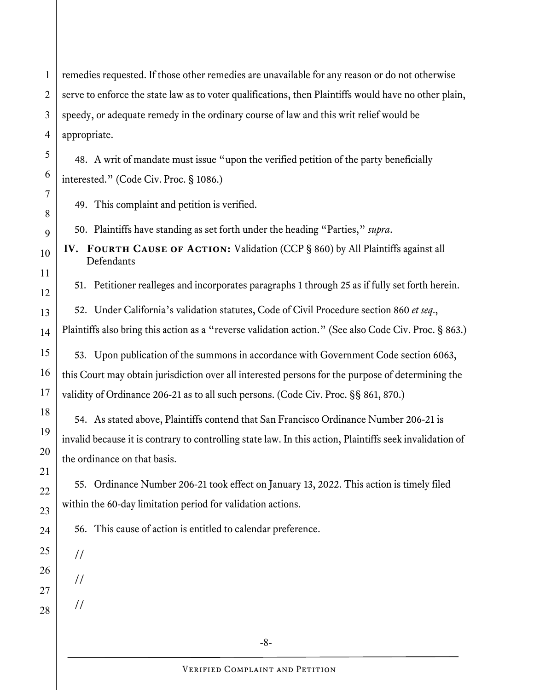1 2 3 4 remedies requested. If those other remedies are unavailable for any reason or do not otherwise serve to enforce the state law as to voter qualifications, then Plaintiffs would have no other plain, speedy, or adequate remedy in the ordinary course of law and this writ relief would be appropriate.

48. A writ of mandate must issue "upon the verified petition of the party beneficially interested." (Code Civ. Proc. § 1086.)

49. This complaint and petition is verified.

50. Plaintiffs have standing as set forth under the heading "Parties," *supra*.

**IV. FOURTH CAUSE OF ACTION:** Validation (CCP § 860) by All Plaintiffs against all **Defendants** 

51. Petitioner realleges and incorporates paragraphs 1 through 25 as if fully set forth herein.

52. Under California's validation statutes, Code of Civil Procedure section 860 *et seq*., Plaintiffs also bring this action as a "reverse validation action." (See also Code Civ. Proc. § 863.)

53. Upon publication of the summons in accordance with Government Code section 6063, this Court may obtain jurisdiction over all interested persons for the purpose of determining the validity of Ordinance 206-21 as to all such persons. (Code Civ. Proc. §§ 861, 870.)

54. As stated above, Plaintiffs contend that San Francisco Ordinance Number 206-21 is invalid because it is contrary to controlling state law. In this action, Plaintiffs seek invalidation of the ordinance on that basis.

55. Ordinance Number 206-21 took effect on January 13, 2022. This action is timely filed within the 60-day limitation period for validation actions.

56. This cause of action is entitled to calendar preference.

25

//

//

//

27

26

5

6

7

8

9

10

11

12

13

14

15

16

17

18

19

20

21

22

23

24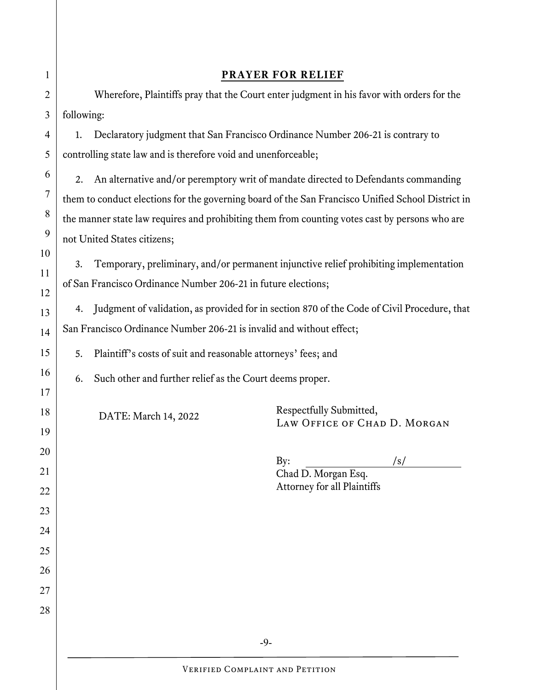| 1              | <b>PRAYER FOR RELIEF</b>                                                                                                                                     |                                                                                |                              |  |  |
|----------------|--------------------------------------------------------------------------------------------------------------------------------------------------------------|--------------------------------------------------------------------------------|------------------------------|--|--|
| $\overline{2}$ | Wherefore, Plaintiffs pray that the Court enter judgment in his favor with orders for the                                                                    |                                                                                |                              |  |  |
| 3              | following:                                                                                                                                                   |                                                                                |                              |  |  |
| 4              | 1.                                                                                                                                                           | Declaratory judgment that San Francisco Ordinance Number 206-21 is contrary to |                              |  |  |
| 5              | controlling state law and is therefore void and unenforceable;                                                                                               |                                                                                |                              |  |  |
| 6              | An alternative and/or peremptory writ of mandate directed to Defendants commanding<br>2.                                                                     |                                                                                |                              |  |  |
| 7              | them to conduct elections for the governing board of the San Francisco Unified School District in                                                            |                                                                                |                              |  |  |
| 8              | the manner state law requires and prohibiting them from counting votes cast by persons who are                                                               |                                                                                |                              |  |  |
| 9              | not United States citizens;                                                                                                                                  |                                                                                |                              |  |  |
| 10<br>11<br>12 | Temporary, preliminary, and/or permanent injunctive relief prohibiting implementation<br>3.<br>of San Francisco Ordinance Number 206-21 in future elections; |                                                                                |                              |  |  |
| 13             | Judgment of validation, as provided for in section 870 of the Code of Civil Procedure, that<br>4.                                                            |                                                                                |                              |  |  |
| 14             | San Francisco Ordinance Number 206-21 is invalid and without effect;                                                                                         |                                                                                |                              |  |  |
| 15             | Plaintiff's costs of suit and reasonable attorneys' fees; and<br>5.                                                                                          |                                                                                |                              |  |  |
| 16             |                                                                                                                                                              | Such other and further relief as the Court deems proper.<br>6.                 |                              |  |  |
| 17             |                                                                                                                                                              |                                                                                |                              |  |  |
| 18             |                                                                                                                                                              | DATE: March 14, 2022                                                           | Respectfully Submitted,      |  |  |
| 19             |                                                                                                                                                              |                                                                                | LAW OFFICE OF CHAD D. MORGAN |  |  |
| 20             |                                                                                                                                                              |                                                                                | By:<br>/s/                   |  |  |
| 21             |                                                                                                                                                              |                                                                                | Chad D. Morgan Esq.          |  |  |
| 22             |                                                                                                                                                              |                                                                                | Attorney for all Plaintiffs  |  |  |
| 23             |                                                                                                                                                              |                                                                                |                              |  |  |
| 24             |                                                                                                                                                              |                                                                                |                              |  |  |
| 25             |                                                                                                                                                              |                                                                                |                              |  |  |
| 26             |                                                                                                                                                              |                                                                                |                              |  |  |
| 27             |                                                                                                                                                              |                                                                                |                              |  |  |
| 28             |                                                                                                                                                              |                                                                                |                              |  |  |
| $-9-$          |                                                                                                                                                              |                                                                                |                              |  |  |
|                |                                                                                                                                                              | <b>VERIFIED COMPLAINT AND PETITION</b>                                         |                              |  |  |